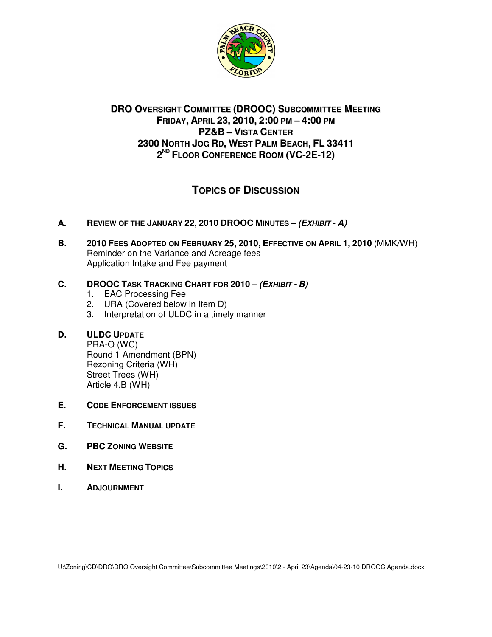

# **DRO OVERSIGHT COMMITTEE (DROOC) SUBCOMMITTEE MEETING FRIDAY, APRIL 23, 2010, 2:00 PM – 4:00 PM PZ&B – VISTA CENTER 2300 NORTH JOG RD, WEST PALM BEACH, FL 33411 2 ND FLOOR CONFERENCE ROOM (VC-2E-12)**

# **TOPICS OF DISCUSSION**

- **A. REVIEW OF THE JANUARY 22, 2010 DROOC MINUTES – (EXHIBIT - A)**
- **B. 2010 FEES ADOPTED ON FEBRUARY 25, 2010, EFFECTIVE ON APRIL 1, 2010** (MMK/WH) Reminder on the Variance and Acreage fees Application Intake and Fee payment

# **C. DROOC TASK TRACKING CHART FOR 2010 – (EXHIBIT - B)**

- 1. EAC Processing Fee
- 2. URA (Covered below in Item D)
- 3. Interpretation of ULDC in a timely manner

## **D. ULDC UPDATE**

PRA-O (WC) Round 1 Amendment (BPN) Rezoning Criteria (WH) Street Trees (WH) Article 4.B (WH)

- **E. CODE ENFORCEMENT ISSUES**
- **F. TECHNICAL MANUAL UPDATE**
- **G. PBC ZONING WEBSITE**
- **H. NEXT MEETING TOPICS**
- **I. ADJOURNMENT**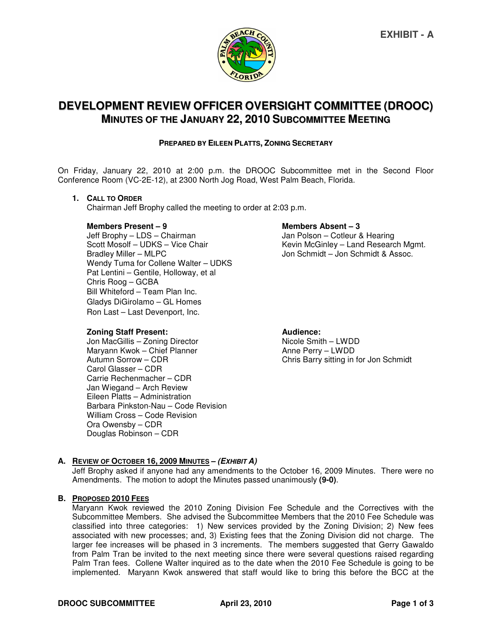

# **DEVELOPMENT REVIEW OFFICER OVERSIGHT COMMITTEE (DROOC) MINUTES OF THE JANUARY 22, 2010 SUBCOMMITTEE MEETING**

#### **PREPARED BY EILEEN PLATTS, ZONING SECRETARY**

On Friday, January 22, 2010 at 2:00 p.m. the DROOC Subcommittee met in the Second Floor Conference Room (VC-2E-12), at 2300 North Jog Road, West Palm Beach, Florida.

#### **1. CALL TO ORDER**

Chairman Jeff Brophy called the meeting to order at 2:03 p.m.

#### **Members Present – 9 Members Absent – 3**

Jeff Brophy – LDS – Chairman van American van Man Polson – Cotleur & Hearing<br>Scott Mosolf – UDKS – Vice Chair van Verenig Kevin McGinley – Land Researc Scott Mosolf – UDKS – Vice Chair Kevin McGinley – Land Research Mgmt.<br>Bradley Miller – MLPC Vice Chair (Separation Schmidt – Jon Schmidt & Assoc.) Wendy Tuma for Collene Walter – UDKS Pat Lentini – Gentile, Holloway, et al Chris Roog – GCBA Bill Whiteford – Team Plan Inc. Gladys DiGirolamo – GL Homes Ron Last – Last Devenport, Inc.

**Zoning Staff Present: Audience: Audience: Audience: Audience: Audience: Audience: Audience: Audience: Audience: Audience: Audience: Audience: Audience: Audience: Audience: Audience: Audie** Jon MacGillis – Zoning Director Maryann Kwok – Chief Planner **Anne Perry – LWDD**<br>Autumn Sorrow – CDR Autumn Sorrow – Chris Barry sitting in Carol Glasser – CDR Carrie Rechenmacher – CDR Jan Wiegand – Arch Review Eileen Platts – Administration Barbara Pinkston-Nau – Code Revision William Cross – Code Revision Ora Owensby – CDR Douglas Robinson – CDR

Jon Schmidt – Jon Schmidt & Assoc.

Chris Barry sitting in for Jon Schmidt

### **A. REVIEW OF OCTOBER 16, 2009 MINUTES – (EXHIBIT A)**

Jeff Brophy asked if anyone had any amendments to the October 16, 2009 Minutes. There were no Amendments. The motion to adopt the Minutes passed unanimously **(9-0)**.

#### **B. PROPOSED 2010 FEES**

Maryann Kwok reviewed the 2010 Zoning Division Fee Schedule and the Correctives with the Subcommittee Members. She advised the Subcommittee Members that the 2010 Fee Schedule was classified into three categories: 1) New services provided by the Zoning Division; 2) New fees associated with new processes; and, 3) Existing fees that the Zoning Division did not charge. The larger fee increases will be phased in 3 increments. The members suggested that Gerry Gawaldo from Palm Tran be invited to the next meeting since there were several questions raised regarding Palm Tran fees. Collene Walter inquired as to the date when the 2010 Fee Schedule is going to be implemented. Maryann Kwok answered that staff would like to bring this before the BCC at the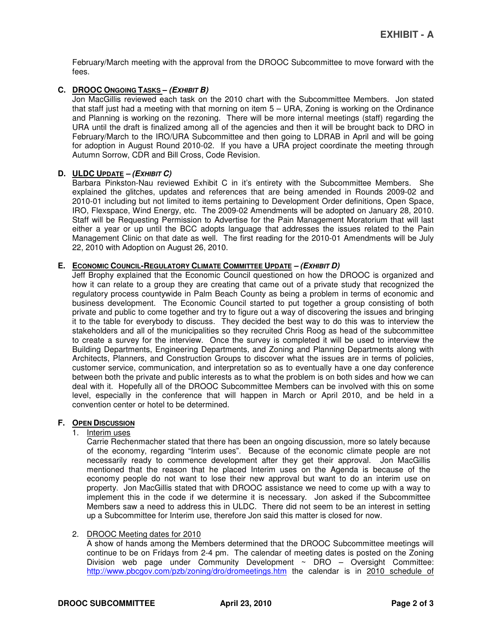February/March meeting with the approval from the DROOC Subcommittee to move forward with the fees.

### **C. DROOC ONGOING TASKS – (EXHIBIT B)**

Jon MacGillis reviewed each task on the 2010 chart with the Subcommittee Members. Jon stated that staff just had a meeting with that morning on item 5 – URA, Zoning is working on the Ordinance and Planning is working on the rezoning. There will be more internal meetings (staff) regarding the URA until the draft is finalized among all of the agencies and then it will be brought back to DRO in February/March to the IRO/URA Subcommittee and then going to LDRAB in April and will be going for adoption in August Round 2010-02. If you have a URA project coordinate the meeting through Autumn Sorrow, CDR and Bill Cross, Code Revision.

### **D. ULDC UPDATE – (EXHIBIT C)**

Barbara Pinkston-Nau reviewed Exhibit C in it's entirety with the Subcommittee Members. She explained the glitches, updates and references that are being amended in Rounds 2009-02 and 2010-01 including but not limited to items pertaining to Development Order definitions, Open Space, IRO, Flexspace, Wind Energy, etc. The 2009-02 Amendments will be adopted on January 28, 2010. Staff will be Requesting Permission to Advertise for the Pain Management Moratorium that will last either a year or up until the BCC adopts language that addresses the issues related to the Pain Management Clinic on that date as well. The first reading for the 2010-01 Amendments will be July 22, 2010 with Adoption on August 26, 2010.

### **E. ECONOMIC COUNCIL-REGULATORY CLIMATE COMMITTEE UPDATE – (EXHIBIT D)**

Jeff Brophy explained that the Economic Council questioned on how the DROOC is organized and how it can relate to a group they are creating that came out of a private study that recognized the regulatory process countywide in Palm Beach County as being a problem in terms of economic and business development. The Economic Council started to put together a group consisting of both private and public to come together and try to figure out a way of discovering the issues and bringing it to the table for everybody to discuss. They decided the best way to do this was to interview the stakeholders and all of the municipalities so they recruited Chris Roog as head of the subcommittee to create a survey for the interview. Once the survey is completed it will be used to interview the Building Departments, Engineering Departments, and Zoning and Planning Departments along with Architects, Planners, and Construction Groups to discover what the issues are in terms of policies, customer service, communication, and interpretation so as to eventually have a one day conference between both the private and public interests as to what the problem is on both sides and how we can deal with it. Hopefully all of the DROOC Subcommittee Members can be involved with this on some level, especially in the conference that will happen in March or April 2010, and be held in a convention center or hotel to be determined.

### **F. OPEN DISCUSSION**

## 1. Interim uses

Carrie Rechenmacher stated that there has been an ongoing discussion, more so lately because of the economy, regarding "Interim uses". Because of the economic climate people are not necessarily ready to commence development after they get their approval. Jon MacGillis mentioned that the reason that he placed Interim uses on the Agenda is because of the economy people do not want to lose their new approval but want to do an interim use on property. Jon MacGillis stated that with DROOC assistance we need to come up with a way to implement this in the code if we determine it is necessary. Jon asked if the Subcommittee Members saw a need to address this in ULDC. There did not seem to be an interest in setting up a Subcommittee for Interim use, therefore Jon said this matter is closed for now.

### 2. DROOC Meeting dates for 2010

A show of hands among the Members determined that the DROOC Subcommittee meetings will continue to be on Fridays from 2-4 pm. The calendar of meeting dates is posted on the Zoning Division web page under Community Development  $\sim$  DRO – Oversight Committee: http://www.pbcgov.com/pzb/zoning/dro/dromeetings.htm the calendar is in 2010 schedule of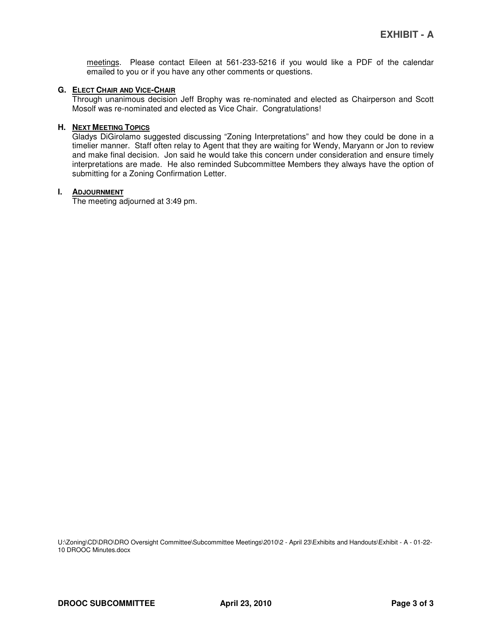meetings. Please contact Eileen at 561-233-5216 if you would like a PDF of the calendar emailed to you or if you have any other comments or questions.

#### **G. ELECT CHAIR AND VICE-CHAIR**

Through unanimous decision Jeff Brophy was re-nominated and elected as Chairperson and Scott Mosolf was re-nominated and elected as Vice Chair. Congratulations!

#### **H. NEXT MEETING TOPICS**

Gladys DiGirolamo suggested discussing "Zoning Interpretations" and how they could be done in a timelier manner. Staff often relay to Agent that they are waiting for Wendy, Maryann or Jon to review and make final decision. Jon said he would take this concern under consideration and ensure timely interpretations are made. He also reminded Subcommittee Members they always have the option of submitting for a Zoning Confirmation Letter.

#### **I. ADJOURNMENT**

The meeting adjourned at 3:49 pm.

U:\Zoning\CD\DRO\DRO Oversight Committee\Subcommittee Meetings\2010\2 - April 23\Exhibits and Handouts\Exhibit - A - 01-22-10 DROOC Minutes.docx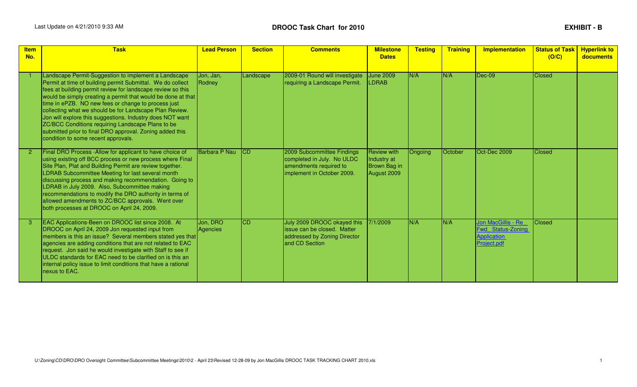# **DROOC Task Chart for 2010**

| <b>Item</b><br>No. | <b>Task</b>                                                                                                                                                                                                                                                                                                                                                                                                                                                                                                                                                                              | <b>Lead Person</b>   | <b>Section</b> | <b>Comments</b>                                                                                                  | <b>Milestone</b><br><b>Dates</b>                                 | <b>Testing</b> | <b>Training</b> | <b>Implementation</b>                                                               | <b>Status of Task</b><br>(O/C) | <b>Hyperlink to</b><br><b>documents</b> |
|--------------------|------------------------------------------------------------------------------------------------------------------------------------------------------------------------------------------------------------------------------------------------------------------------------------------------------------------------------------------------------------------------------------------------------------------------------------------------------------------------------------------------------------------------------------------------------------------------------------------|----------------------|----------------|------------------------------------------------------------------------------------------------------------------|------------------------------------------------------------------|----------------|-----------------|-------------------------------------------------------------------------------------|--------------------------------|-----------------------------------------|
|                    | Landscape Permit-Suggestion to implement a Landscape<br>Permit at time of building permit Submittal. We do collect<br>fees at building permit review for landscape review so this<br>would be simply creating a permit that would be done at that<br>time in ePZB. NO new fees or change to process just<br>collecting what we should be for Landscape Plan Review.<br>Jon will explore this suggestions. Industry does NOT want<br>ZC/BCC Conditions requiring Landscape Plans to be<br>submitted prior to final DRO approval. Zoning added this<br>condition to some recent approvals. | Jon, Jan,<br>Rodney  | Landscape      | 2009-01 Round will investigate<br>requiring a Landscape Permit.                                                  | <b>June 2009</b><br>LDRAB                                        | N/A            | N/A             | $Dec-09$                                                                            | <b>Closed</b>                  |                                         |
|                    | Final DRO Process - Allow for applicant to have choice of<br>using existing off BCC process or new process where Final<br>Site Plan, Plat and Building Permit are review together.<br>LDRAB Subcommittee Meeting for last several month<br>discussing process and making recommendation. Going to<br>LDRAB in July 2009. Also, Subcommittee making<br>recommendations to modify the DRO authority in terms of<br>allowed amendments to ZC/BCC approvals. Went over<br>both processes at DROOC on April 24, 2009.                                                                         | Barbara P Nau        | <b>ICD</b>     | 2009 Subcommittee Findings<br>completed in July. No ULDC<br>amendments required to<br>implement in October 2009. | <b>Review with</b><br>Industry at<br>Brown Bag in<br>August 2009 | Ongoing        | October         | Oct-Dec 2009                                                                        | <b>Closed</b>                  |                                         |
|                    | EAC Applications-Been on DROOC list since 2008. At<br>DROOC on April 24, 2009 Jon requested input from<br>members is this an issue? Several members stated yes that<br>agencies are adding conditions that are not related to EAC<br>request. Jon said he would investigate with Staff to see if<br>ULDC standards for EAC need to be clarified on is this an<br>internal policy issue to limit conditions that have a rational<br>nexus to EAC.                                                                                                                                         | Jon, DRO<br>Agencies | CD             | July 2009 DROOC okayed this<br>issue can be closed. Matter<br>addressed by Zoning Director<br>and CD Section     | 7/1/2009                                                         | N/A            | N/A             | Jon MacGillis - Re<br><b>Fwd Status-Zoning</b><br><b>Application</b><br>Project.pdf | <b>Closed</b>                  |                                         |